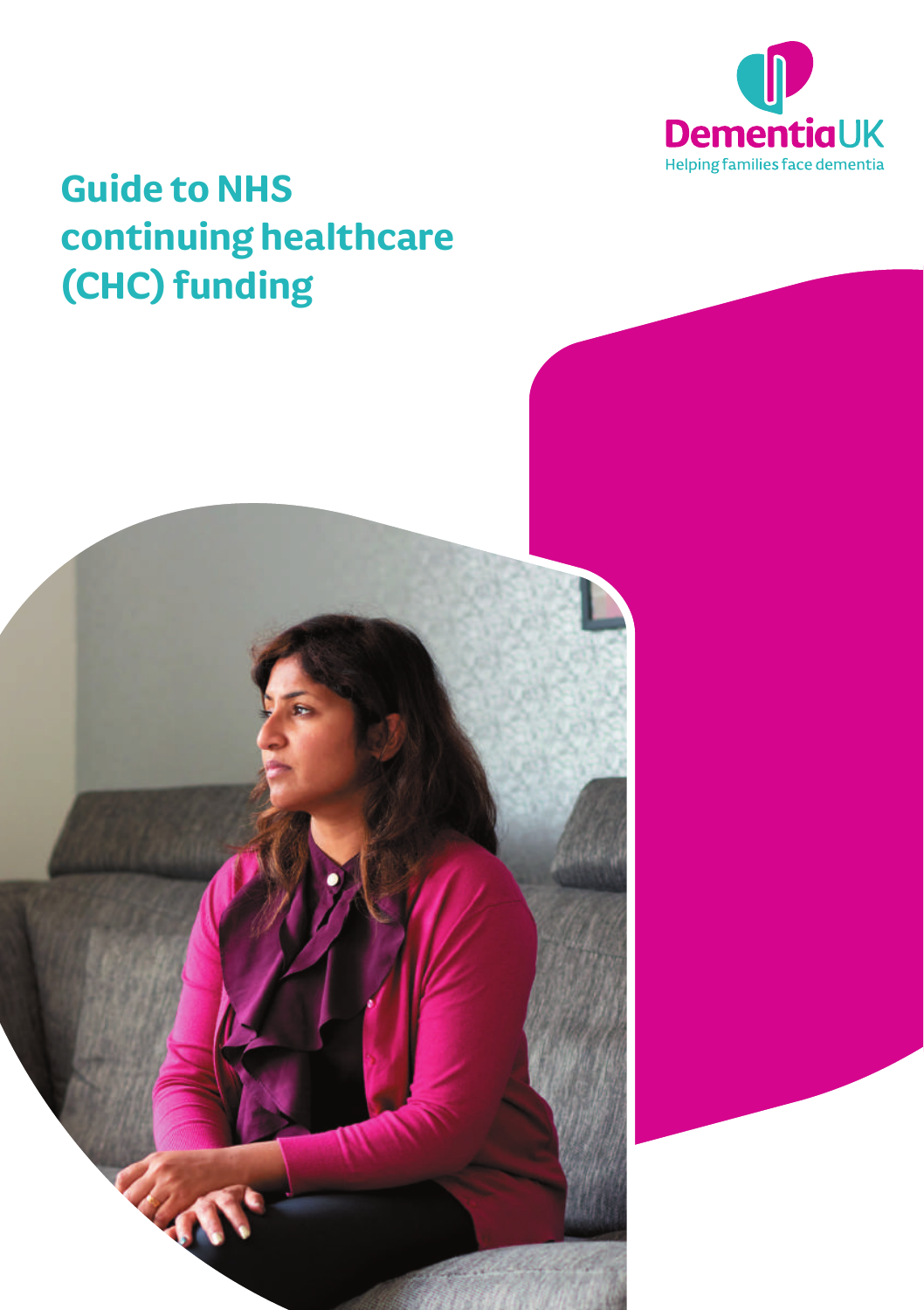

# **Guide to NHS continuing healthcare (CHC) funding**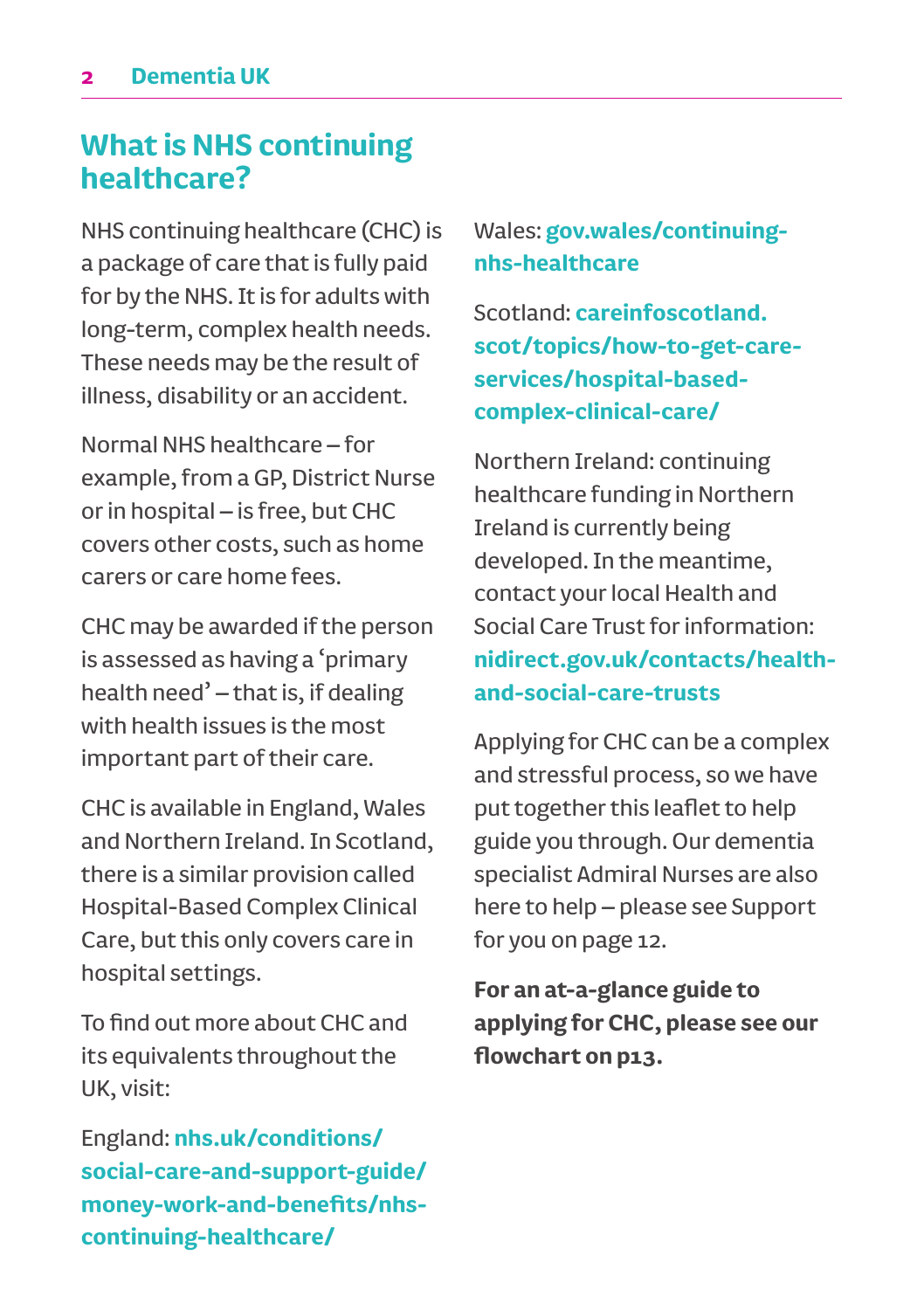### **What is NHS continuing healthcare?**

NHS continuing healthcare (CHC) is a package of care that is fully paid for by the NHS. It is for adults with long-term, complex health needs. These needs may be the result of illness, disability or an accident.

Normal NHS healthcare – for example, from a GP, District Nurse or in hospital – is free, but CHC covers other costs, such as home carers or care home fees.

CHC may be awarded if the person is assessed as having a 'primary health need' – that is, if dealing with health issues is the most important part of their care.

CHC is available in England, Wales and Northern Ireland. In Scotland, there is a similar provision called Hospital-Based Complex Clinical Care, but this only covers care in hospital settings.

To find out more about CHC and its equivalents throughout the UK, visit:

England: **nhs.uk/conditions/ social-care-and-support-guide/ money-work-and-benefits/nhscontinuing-healthcare/**

### Wales: **gov.wales/continuingnhs-healthcare**

Scotland: **careinfoscotland. scot/topics/how-to-get-careservices/hospital-basedcomplex-clinical-care/**

Northern Ireland: continuing healthcare funding in Northern Ireland is currently being developed. In the meantime, contact your local Health and Social Care Trust for information: **nidirect.gov.uk/contacts/healthand-social-care-trusts** 

Applying for CHC can be a complex and stressful process, so we have put together this leaflet to help guide you through. Our dementia specialist Admiral Nurses are also here to help – please see Support for you on page 12.

**For an at-a-glance guide to applying for CHC, please see our flowchart on p13.**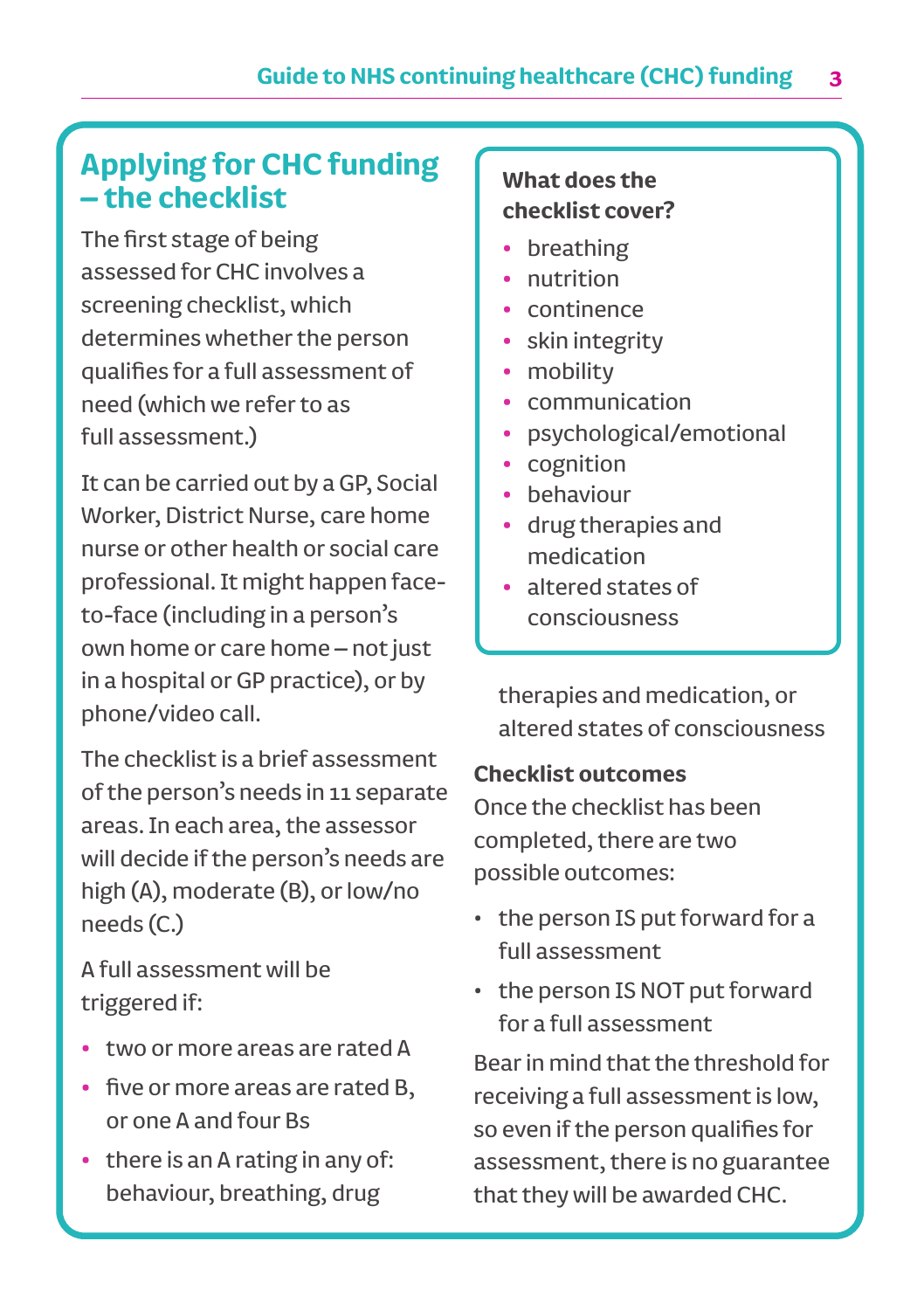# **Applying for CHC funding – the checklist**

The first stage of being assessed for CHC involves a screening checklist, which determines whether the person qualifies for a full assessment of need (which we refer to as full assessment.)

It can be carried out by a GP, Social Worker, District Nurse, care home nurse or other health or social care professional. It might happen faceto-face (including in a person's own home or care home – not just in a hospital or GP practice), or by phone/video call.

The checklist is a brief assessment of the person's needs in 11 separate areas. In each area, the assessor will decide if the person's needs are high (A), moderate (B), or low/no needs (C.)

A full assessment will be triggered if:

- **•** two or more areas are rated A
- **•** five or more areas are rated B, or one A and four Bs
- **•** there is an A rating in any of: behaviour, breathing, drug

### **What does the checklist cover?**

- **•** breathing
- **•** nutrition
- **•** continence
- **•** skin integrity
- **•** mobility
- **•** communication
- **•** psychological/emotional
- **•** cognition
- **•** behaviour
- **•** drug therapies and medication
- **•** altered states of consciousness

therapies and medication, or altered states of consciousness

### **Checklist outcomes**

Once the checklist has been completed, there are two possible outcomes:

- the person IS put forward for a full assessment
- the person IS NOT put forward for a full assessment

Bear in mind that the threshold for receiving a full assessment is low, so even if the person qualifies for assessment, there is no guarantee that they will be awarded CHC.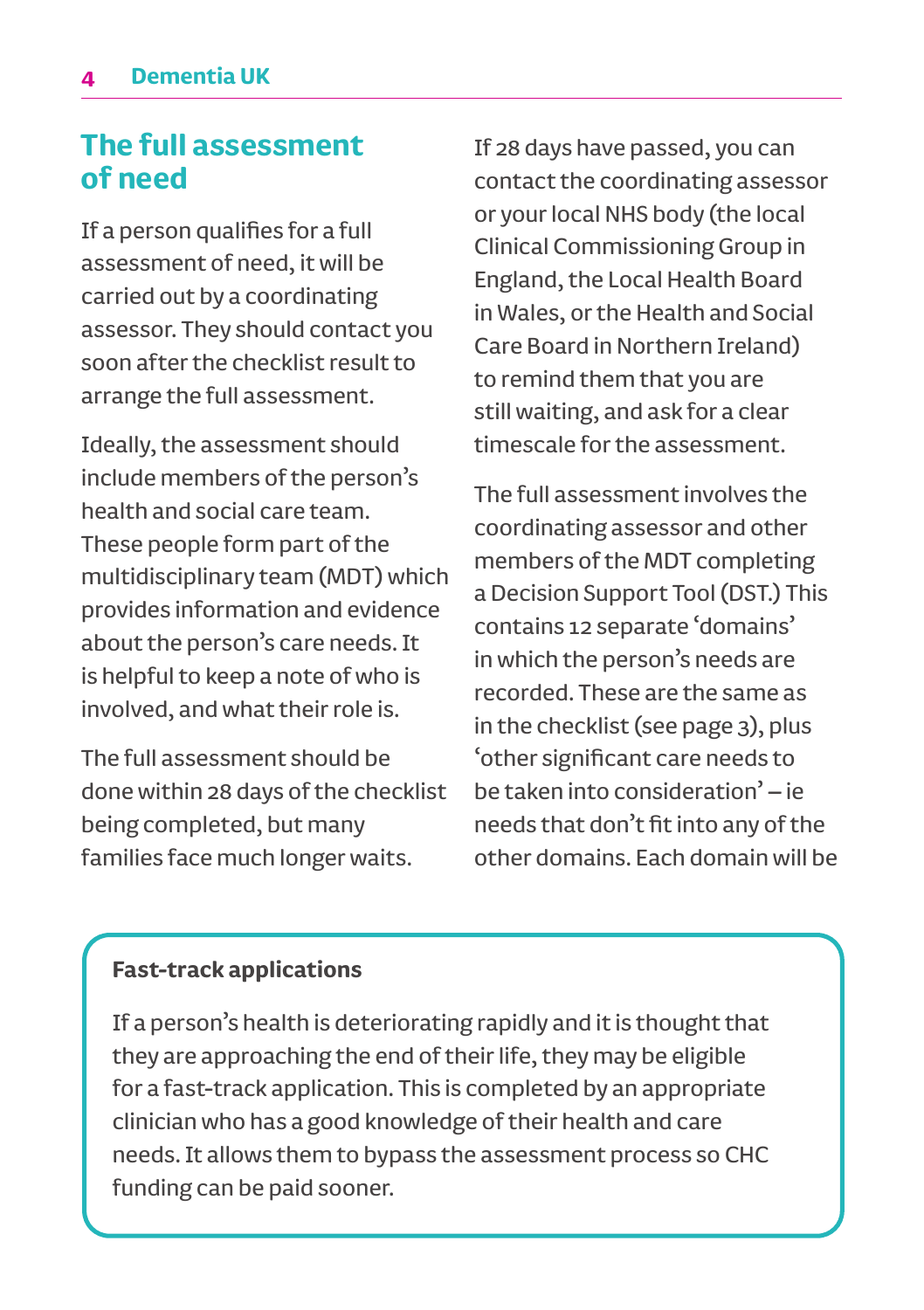### **The full assessment of need**

If a person qualifies for a full assessment of need, it will be carried out by a coordinating assessor. They should contact you soon after the checklist result to arrange the full assessment.

Ideally, the assessment should include members of the person's health and social care team. These people form part of the multidisciplinary team (MDT) which provides information and evidence about the person's care needs. It is helpful to keep a note of who is involved, and what their role is.

The full assessment should be done within 28 days of the checklist being completed, but many families face much longer waits.

If 28 days have passed, you can contact the coordinating assessor or your local NHS body (the local Clinical Commissioning Group in England, the Local Health Board in Wales, or the Health and Social Care Board in Northern Ireland) to remind them that you are still waiting, and ask for a clear timescale for the assessment.

The full assessment involves the coordinating assessor and other members of the MDT completing a Decision Support Tool (DST.) This contains 12 separate 'domains' in which the person's needs are recorded. These are the same as in the checklist (see page 3), plus 'other significant care needs to be taken into consideration' – ie needs that don't fit into any of the other domains. Each domain will be

### **Fast-track applications**

If a person's health is deteriorating rapidly and it is thought that they are approaching the end of their life, they may be eligible for a fast-track application. This is completed by an appropriate clinician who has a good knowledge of their health and care needs. It allows them to bypass the assessment process so CHC funding can be paid sooner.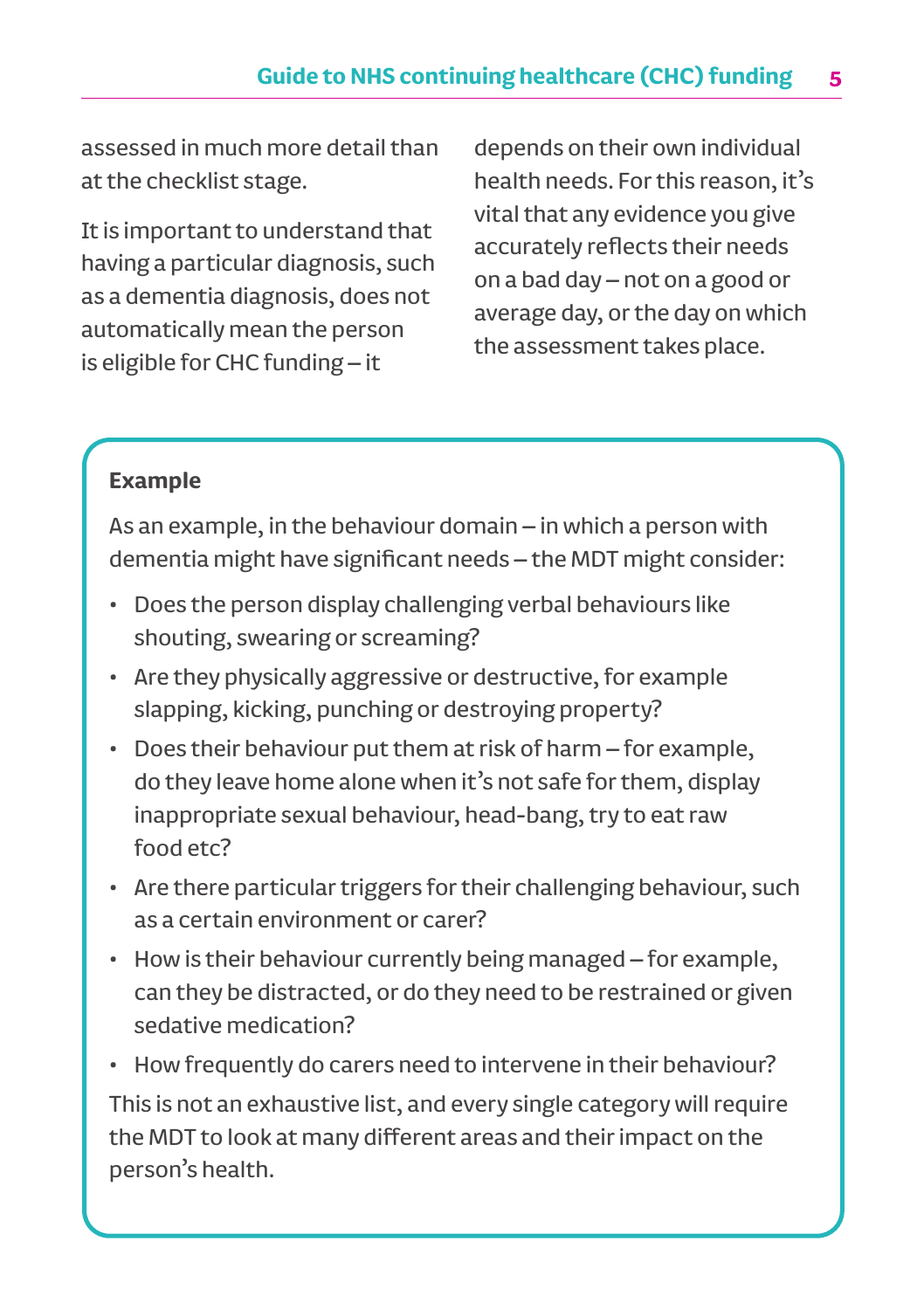### **Guide to NHS continuing healthcare (CHC) funding 5**

assessed in much more detail than at the checklist stage.

It is important to understand that having a particular diagnosis, such as a dementia diagnosis, does not automatically mean the person is eligible for CHC funding – it

depends on their own individual health needs. For this reason, it's vital that any evidence you give accurately reflects their needs on a bad day – not on a good or average day, or the day on which the assessment takes place.

### **Example**

As an example, in the behaviour domain – in which a person with dementia might have significant needs – the MDT might consider:

- Does the person display challenging verbal behaviours like shouting, swearing or screaming?
- Are they physically aggressive or destructive, for example slapping, kicking, punching or destroying property?
- Does their behaviour put them at risk of harm for example, do they leave home alone when it's not safe for them, display inappropriate sexual behaviour, head-bang, try to eat raw food etc?
- Are there particular triggers for their challenging behaviour, such as a certain environment or carer?
- How is their behaviour currently being managed for example, can they be distracted, or do they need to be restrained or given sedative medication?
- How frequently do carers need to intervene in their behaviour?

This is not an exhaustive list, and every single category will require the MDT to look at many different areas and their impact on the person's health.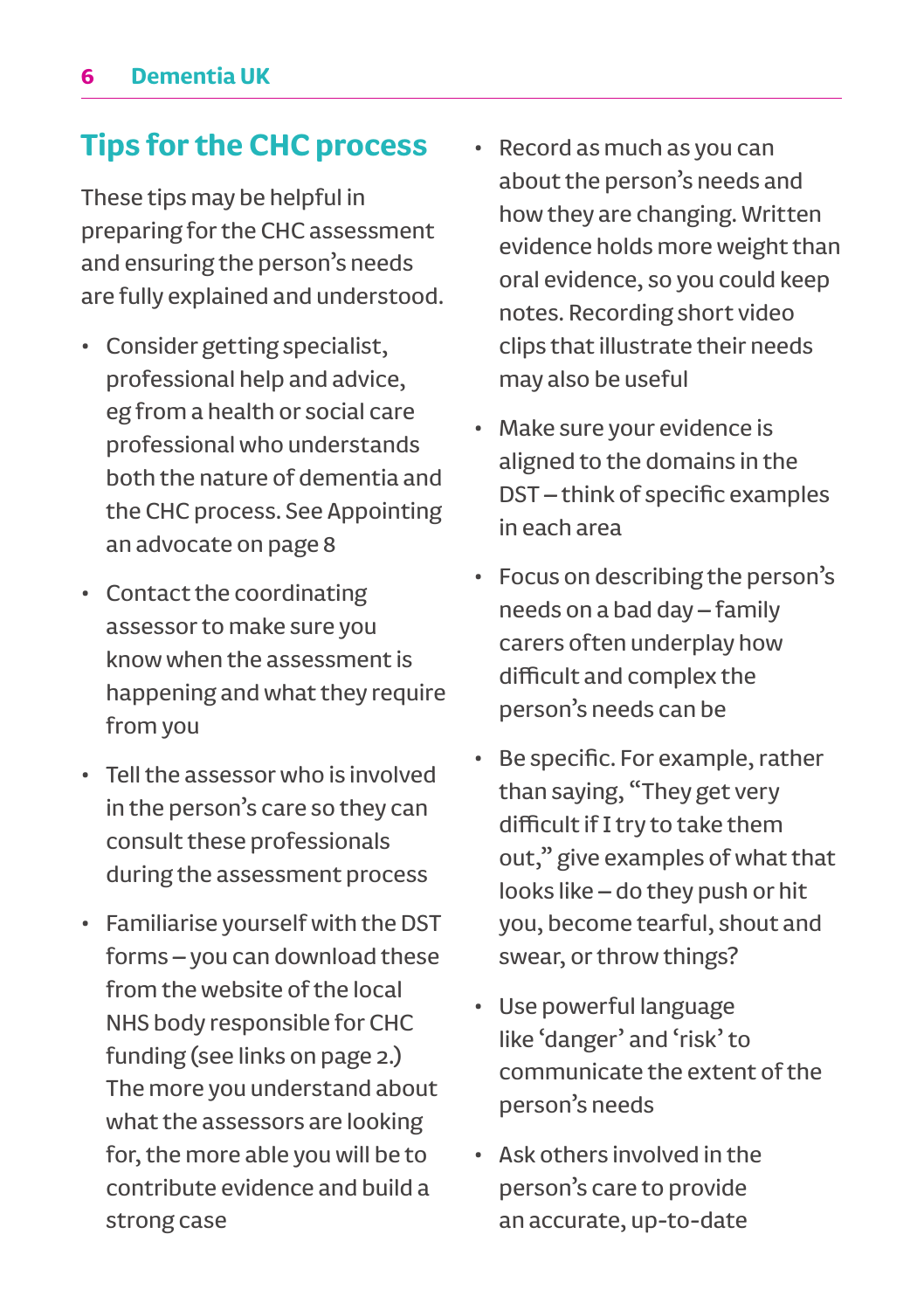# **Tips for the CHC process**

These tips may be helpful in preparing for the CHC assessment and ensuring the person's needs are fully explained and understood.

- Consider getting specialist, professional help and advice, eg from a health or social care professional who understands both the nature of dementia and the CHC process. See Appointing an advocate on page 8
- Contact the coordinating assessor to make sure you know when the assessment is happening and what they require from you
- Tell the assessor who is involved in the person's care so they can consult these professionals during the assessment process
- Familiarise yourself with the DST forms – you can download these from the website of the local NHS body responsible for CHC funding (see links on page 2.) The more you understand about what the assessors are looking for, the more able you will be to contribute evidence and build a strong case
- Record as much as you can about the person's needs and how they are changing. Written evidence holds more weight than oral evidence, so you could keep notes. Recording short video clips that illustrate their needs may also be useful
- Make sure your evidence is aligned to the domains in the DST – think of specific examples in each area
- Focus on describing the person's needs on a bad day – family carers often underplay how difficult and complex the person's needs can be
- Be specific. For example, rather than saying, "They get very difficult if I try to take them out," give examples of what that looks like – do they push or hit you, become tearful, shout and swear, or throw things?
- Use powerful language like 'danger' and 'risk' to communicate the extent of the person's needs
- Ask others involved in the person's care to provide an accurate, up-to-date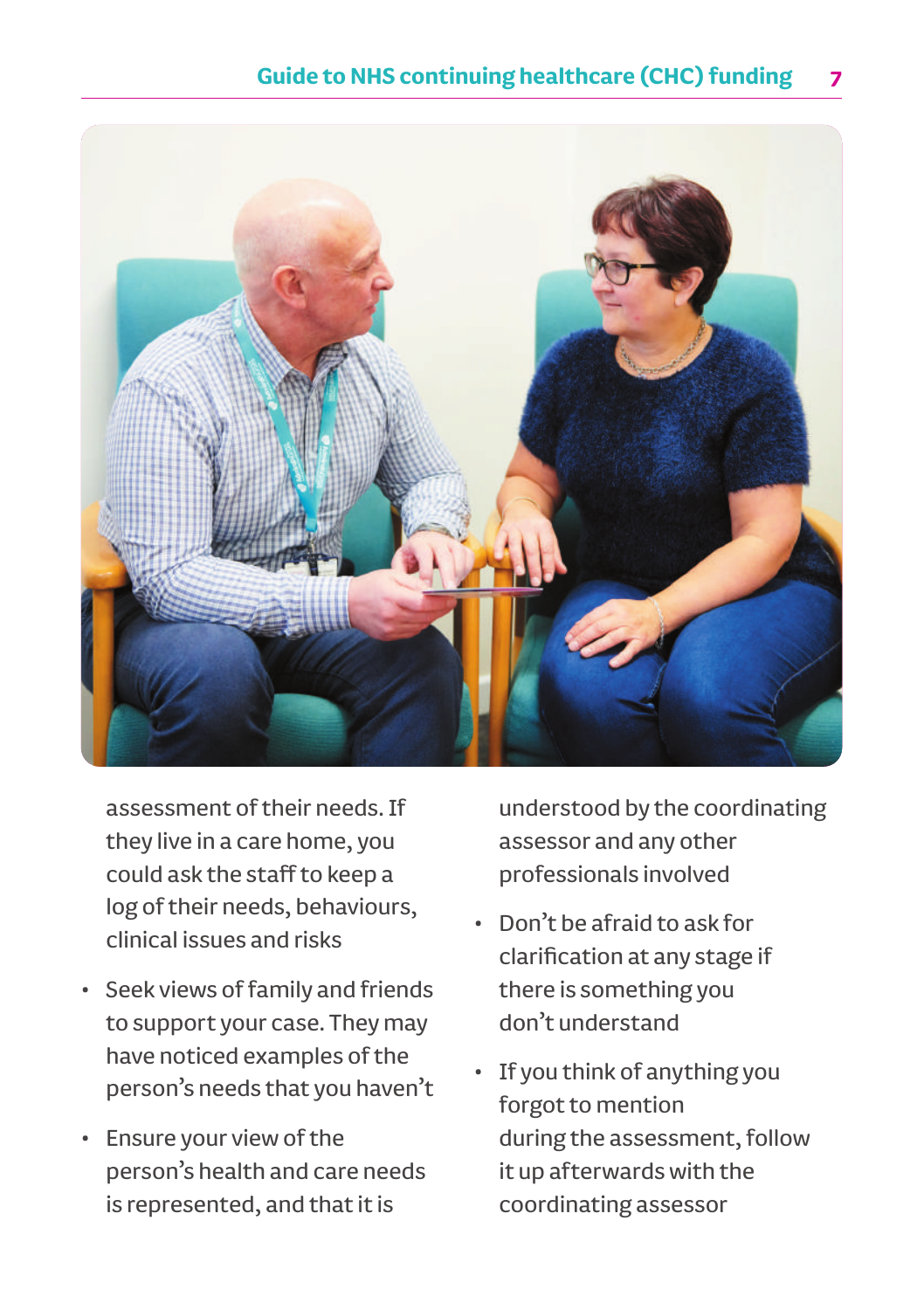

assessment of their needs. If they live in a care home, you could ask the staff to keep a log of their needs, behaviours, clinical issues and risks

- Seek views of family and friends to support your case. They may have noticed examples of the person's needs that you haven't
- Ensure your view of the person's health and care needs is represented, and that it is

understood by the coordinating assessor and any other professionals involved

- Don't be afraid to ask for clarification at any stage if there is something you don't understand
- If you think of anything you forgot to mention during the assessment, follow it up afterwards with the coordinating assessor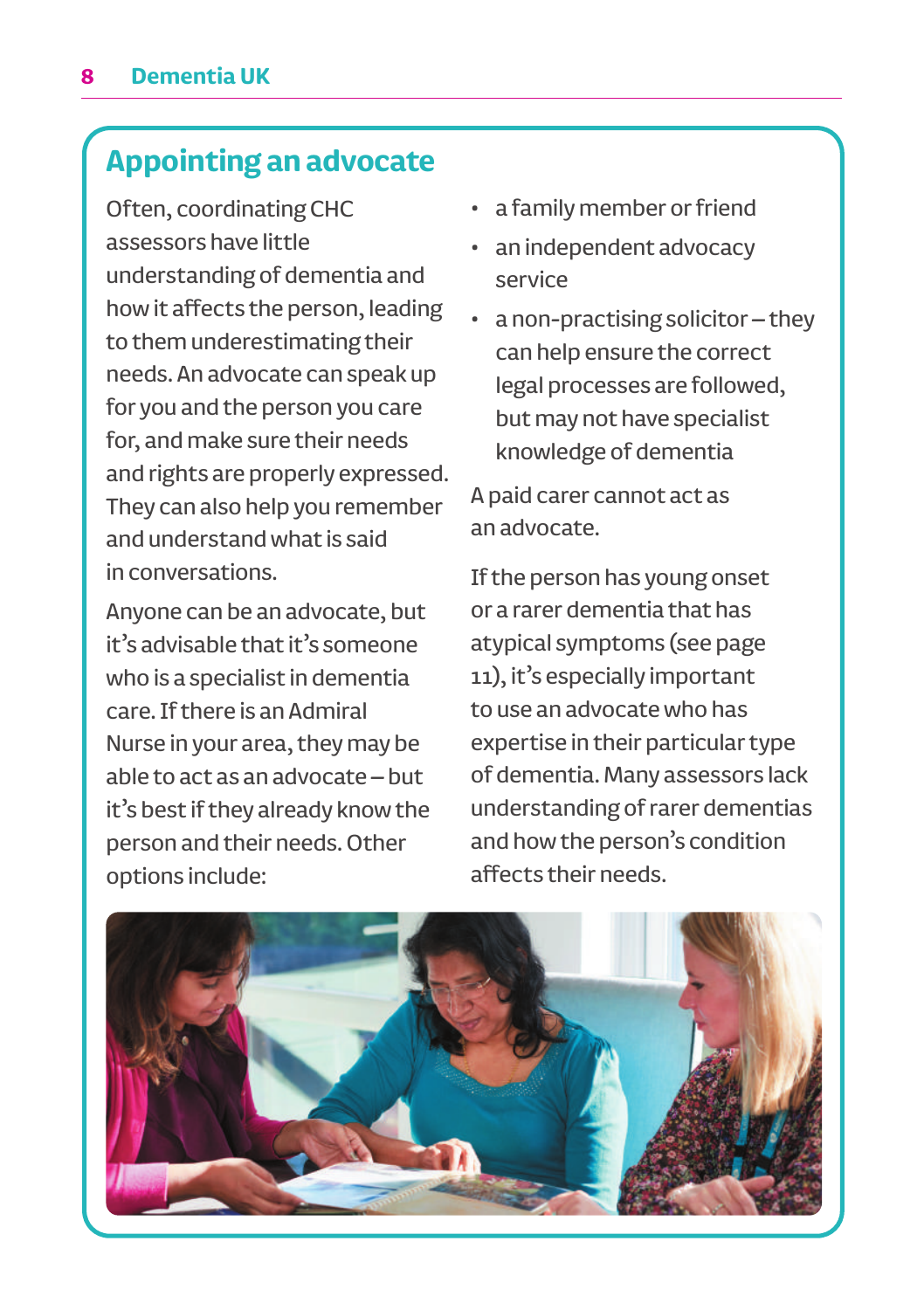# **Appointing an advocate**

Often, coordinating CHC assessors have little understanding of dementia and how it affects the person, leading to them underestimating their needs. An advocate can speak up for you and the person you care for, and make sure their needs and rights are properly expressed. They can also help you remember and understand what is said in conversations.

Anyone can be an advocate, but it's advisable that it's someone who is a specialist in dementia care. If there is an Admiral Nurse in your area, they may be able to act as an advocate – but it's best if they already know the person and their needs. Other options include:

- a family member or friend
- an independent advocacy service
- a non-practising solicitor they can help ensure the correct legal processes are followed, but may not have specialist knowledge of dementia

A paid carer cannot act as an advocate.

If the person has young onset or a rarer dementia that has atypical symptoms (see page 11), it's especially important to use an advocate who has expertise in their particular type of dementia. Many assessors lack understanding of rarer dementias and how the person's condition affects their needs.

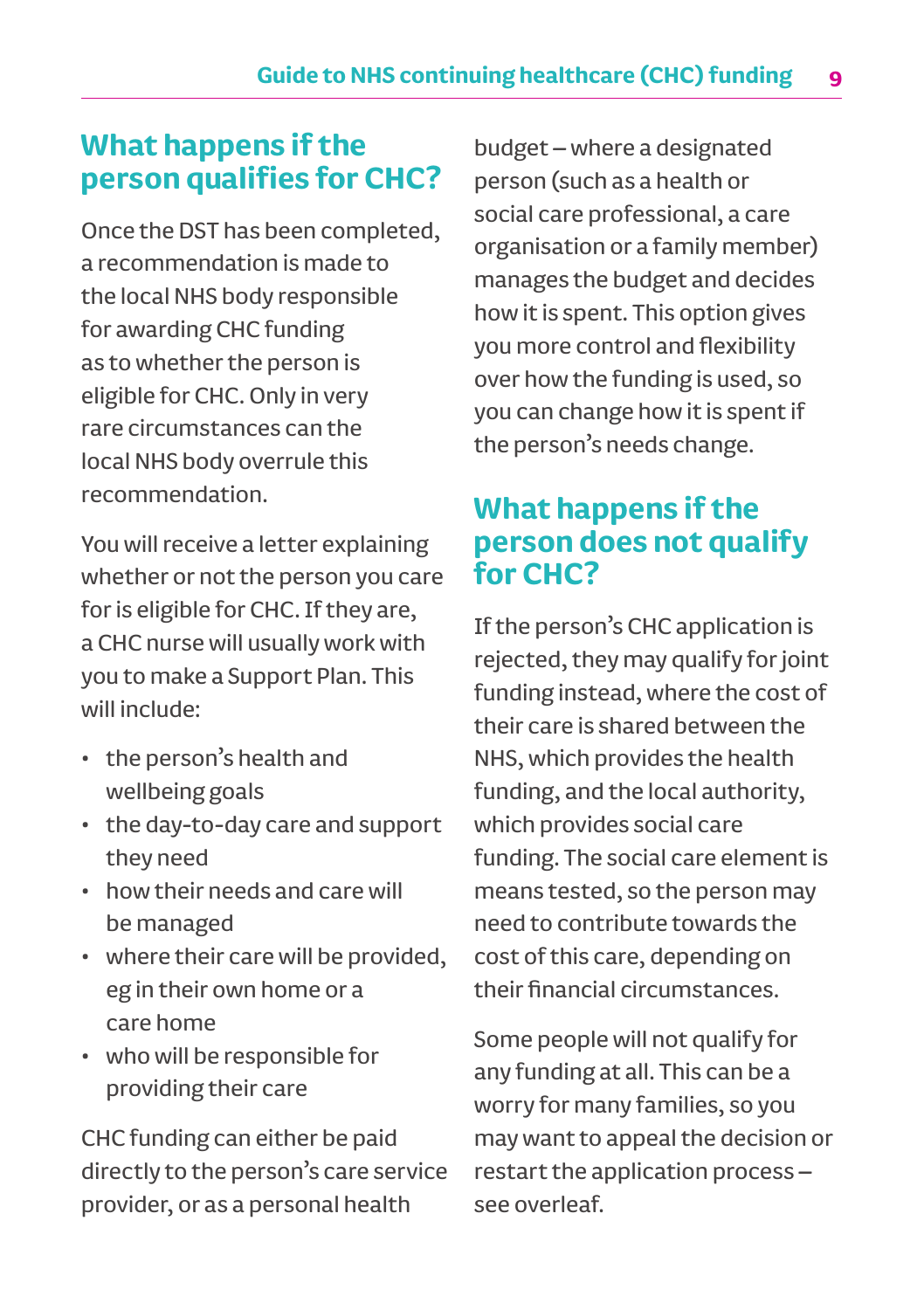### **What happens if the person qualifies for CHC?**

Once the DST has been completed, a recommendation is made to the local NHS body responsible for awarding CHC funding as to whether the person is eligible for CHC. Only in very rare circumstances can the local NHS body overrule this recommendation.

You will receive a letter explaining whether or not the person you care for is eligible for CHC. If they are, a CHC nurse will usually work with you to make a Support Plan. This will include:

- the person's health and wellbeing goals
- the day-to-day care and support they need
- how their needs and care will be managed
- where their care will be provided, eg in their own home or a care home
- who will be responsible for providing their care

CHC funding can either be paid directly to the person's care service provider, or as a personal health

budget – where a designated person (such as a health or social care professional, a care organisation or a family member) manages the budget and decides how it is spent. This option gives you more control and flexibility over how the funding is used, so you can change how it is spent if the person's needs change.

## **What happens if the person does not qualify for CHC?**

If the person's CHC application is rejected, they may qualify for joint funding instead, where the cost of their care is shared between the NHS, which provides the health funding, and the local authority, which provides social care funding. The social care element is means tested, so the person may need to contribute towards the cost of this care, depending on their financial circumstances.

Some people will not qualify for any funding at all. This can be a worry for many families, so you may want to appeal the decision or restart the application process – see overleaf.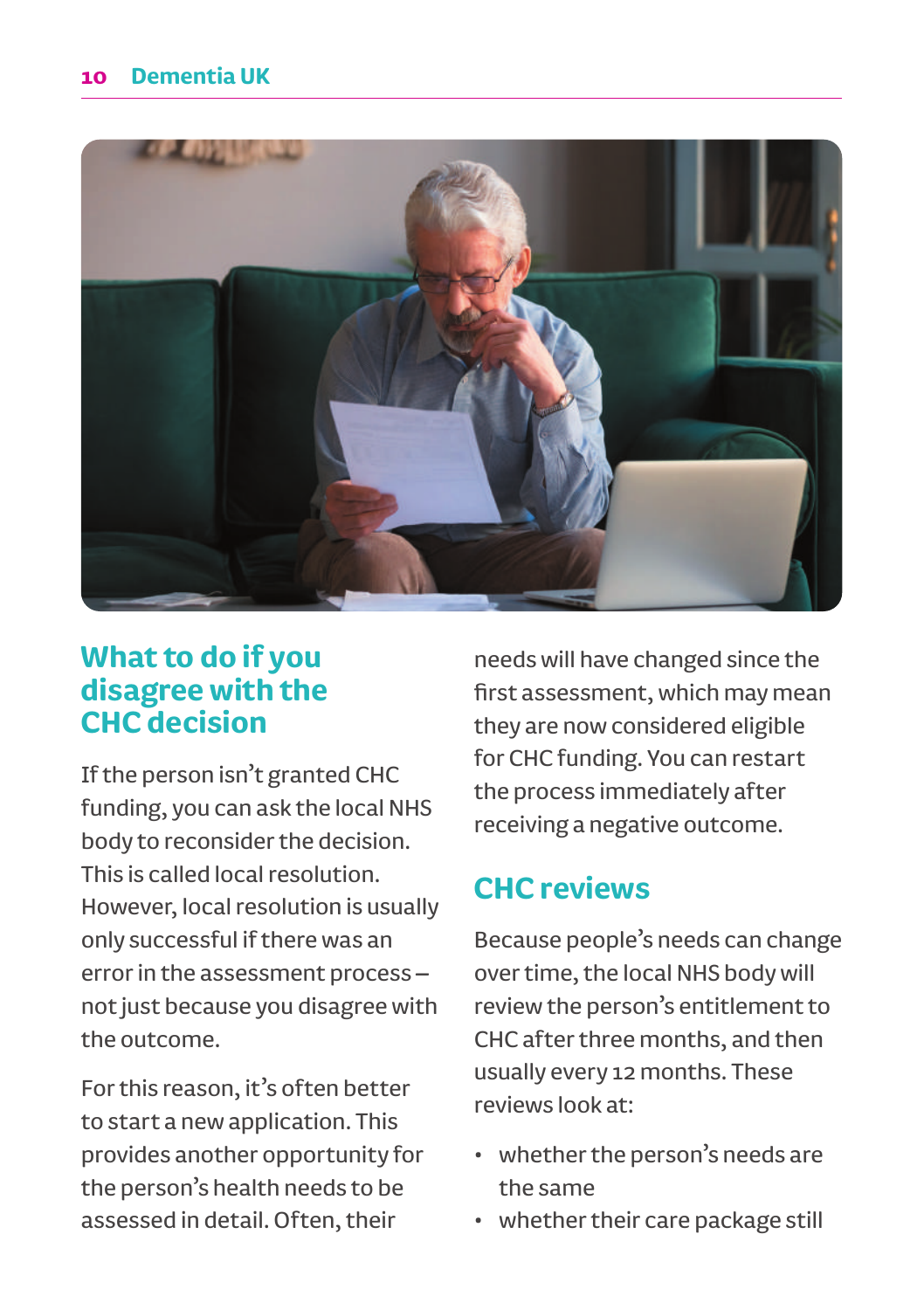

### **What to do if you disagree with the CHC decision**

If the person isn't granted CHC funding, you can ask the local NHS body to reconsider the decision. This is called local resolution. However, local resolution is usually only successful if there was an error in the assessment process – not just because you disagree with the outcome.

For this reason, it's often better to start a new application. This provides another opportunity for the person's health needs to be assessed in detail. Often, their

needs will have changed since the first assessment, which may mean they are now considered eligible for CHC funding. You can restart the process immediately after receiving a negative outcome.

# **CHC reviews**

Because people's needs can change over time, the local NHS body will review the person's entitlement to CHC after three months, and then usually every 12 months. These reviews look at:

- whether the person's needs are the same
- whether their care package still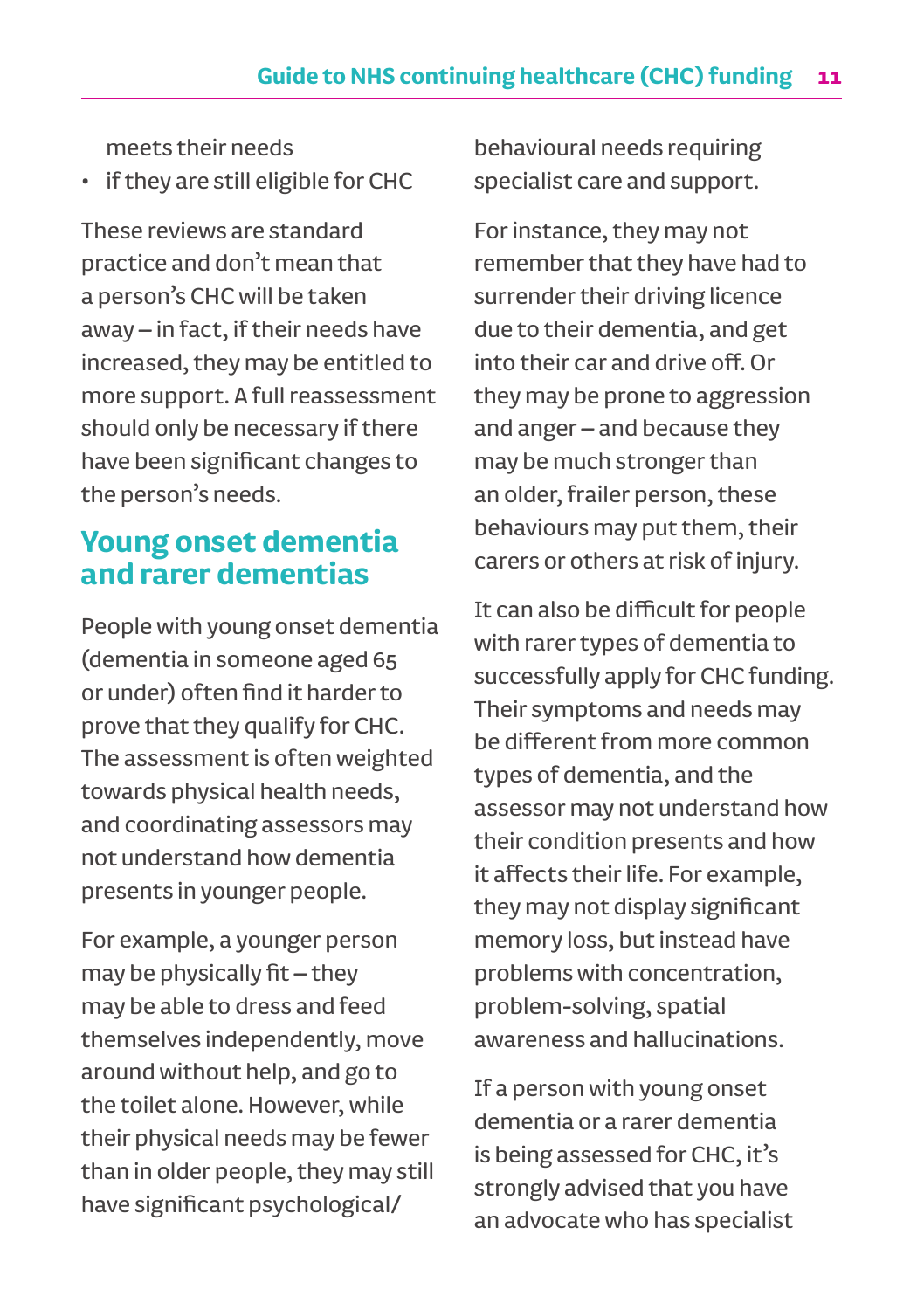meets their needs

• if they are still eligible for CHC

These reviews are standard practice and don't mean that a person's CHC will be taken away – in fact, if their needs have increased, they may be entitled to more support. A full reassessment should only be necessary if there have been significant changes to the person's needs.

## **Young onset dementia and rarer dementias**

People with young onset dementia (dementia in someone aged 65 or under) often find it harder to prove that they qualify for CHC. The assessment is often weighted towards physical health needs, and coordinating assessors may not understand how dementia presents in younger people.

For example, a younger person may be physically fit – they may be able to dress and feed themselves independently, move around without help, and go to the toilet alone. However, while their physical needs may be fewer than in older people, they may still have significant psychological/

behavioural needs requiring specialist care and support.

For instance, they may not remember that they have had to surrender their driving licence due to their dementia, and get into their car and drive off. Or they may be prone to aggression and anger – and because they may be much stronger than an older, frailer person, these behaviours may put them, their carers or others at risk of injury.

It can also be difficult for people with rarer types of dementia to successfully apply for CHC funding. Their symptoms and needs may be different from more common types of dementia, and the assessor may not understand how their condition presents and how it affects their life. For example, they may not display significant memory loss, but instead have problems with concentration, problem-solving, spatial awareness and hallucinations.

If a person with young onset dementia or a rarer dementia is being assessed for CHC, it's strongly advised that you have an advocate who has specialist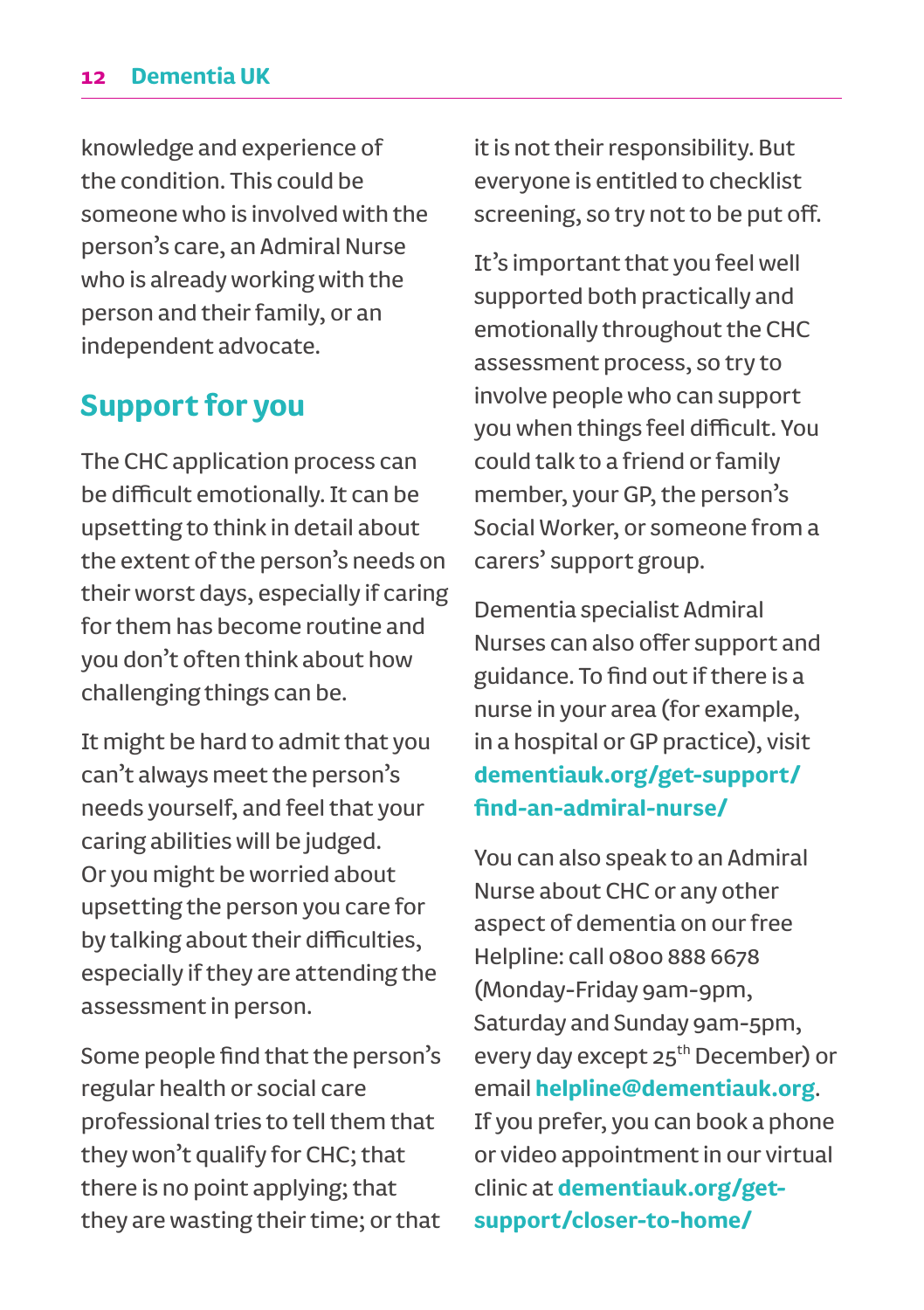#### **12 Dementia UK**

knowledge and experience of the condition. This could be someone who is involved with the person's care, an Admiral Nurse who is already working with the person and their family, or an independent advocate.

### **Support for you**

The CHC application process can be difficult emotionally. It can be upsetting to think in detail about the extent of the person's needs on their worst days, especially if caring for them has become routine and you don't often think about how challenging things can be.

It might be hard to admit that you can't always meet the person's needs yourself, and feel that your caring abilities will be judged. Or you might be worried about upsetting the person you care for by talking about their difficulties, especially if they are attending the assessment in person.

Some people find that the person's regular health or social care professional tries to tell them that they won't qualify for CHC; that there is no point applying; that they are wasting their time; or that it is not their responsibility. But everyone is entitled to checklist screening, so try not to be put off.

It's important that you feel well supported both practically and emotionally throughout the CHC assessment process, so try to involve people who can support you when things feel difficult. You could talk to a friend or family member, your GP, the person's Social Worker, or someone from a carers' support group.

Dementia specialist Admiral Nurses can also offer support and guidance. To find out if there is a nurse in your area (for example, in a hospital or GP practice), visit **dementiauk.org/get-support/ find-an-admiral-nurse/**

You can also speak to an Admiral Nurse about CHC or any other aspect of dementia on our free Helpline: call 0800 888 6678 (Monday-Friday 9am-9pm, Saturday and Sunday 9am-5pm, every day except 25<sup>th</sup> December) or email **helpline@dementiauk.org**. If you prefer, you can book a phone or video appointment in our virtual clinic at **dementiauk.org/getsupport/closer-to-home/**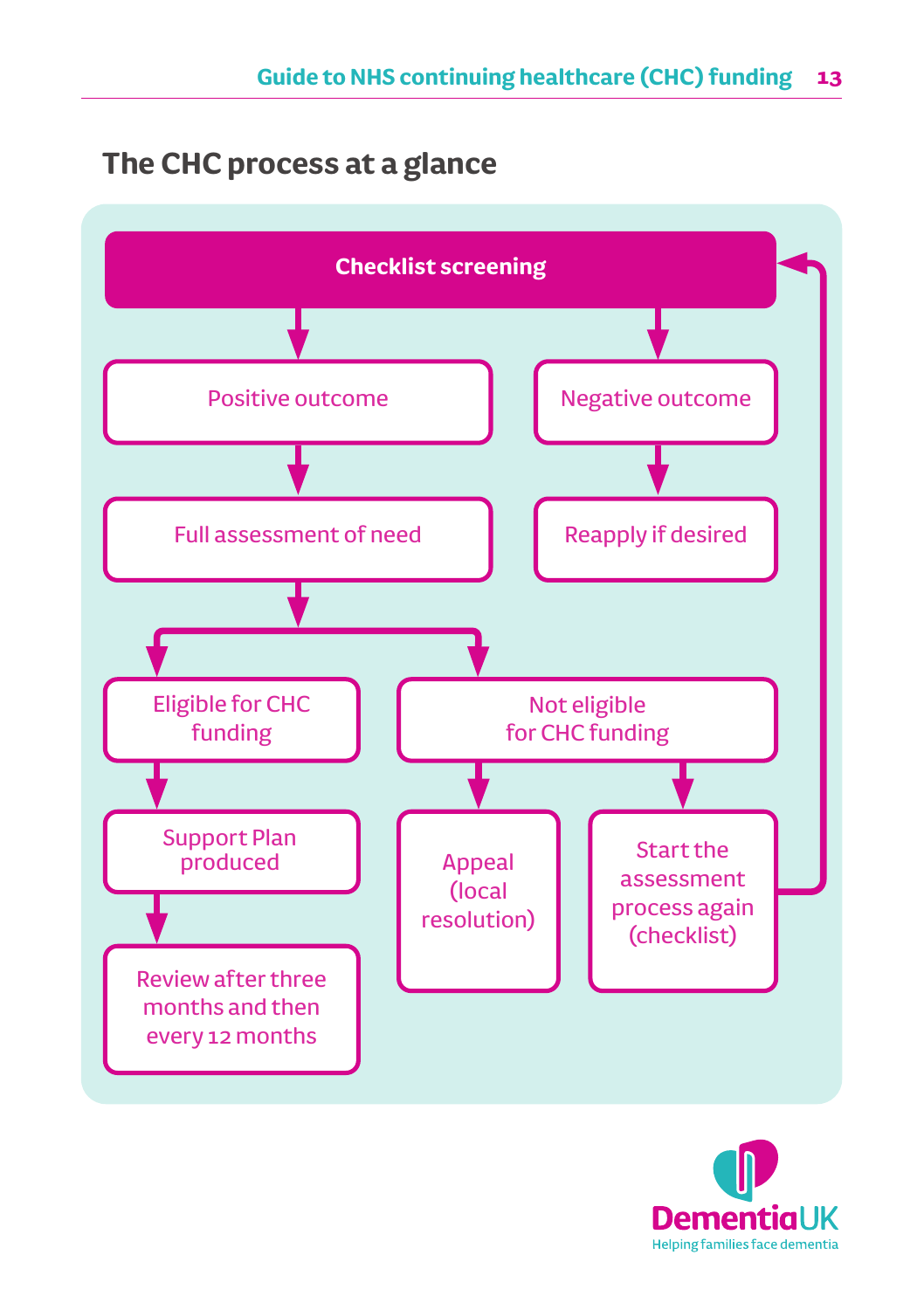# **The CHC process at a glance**



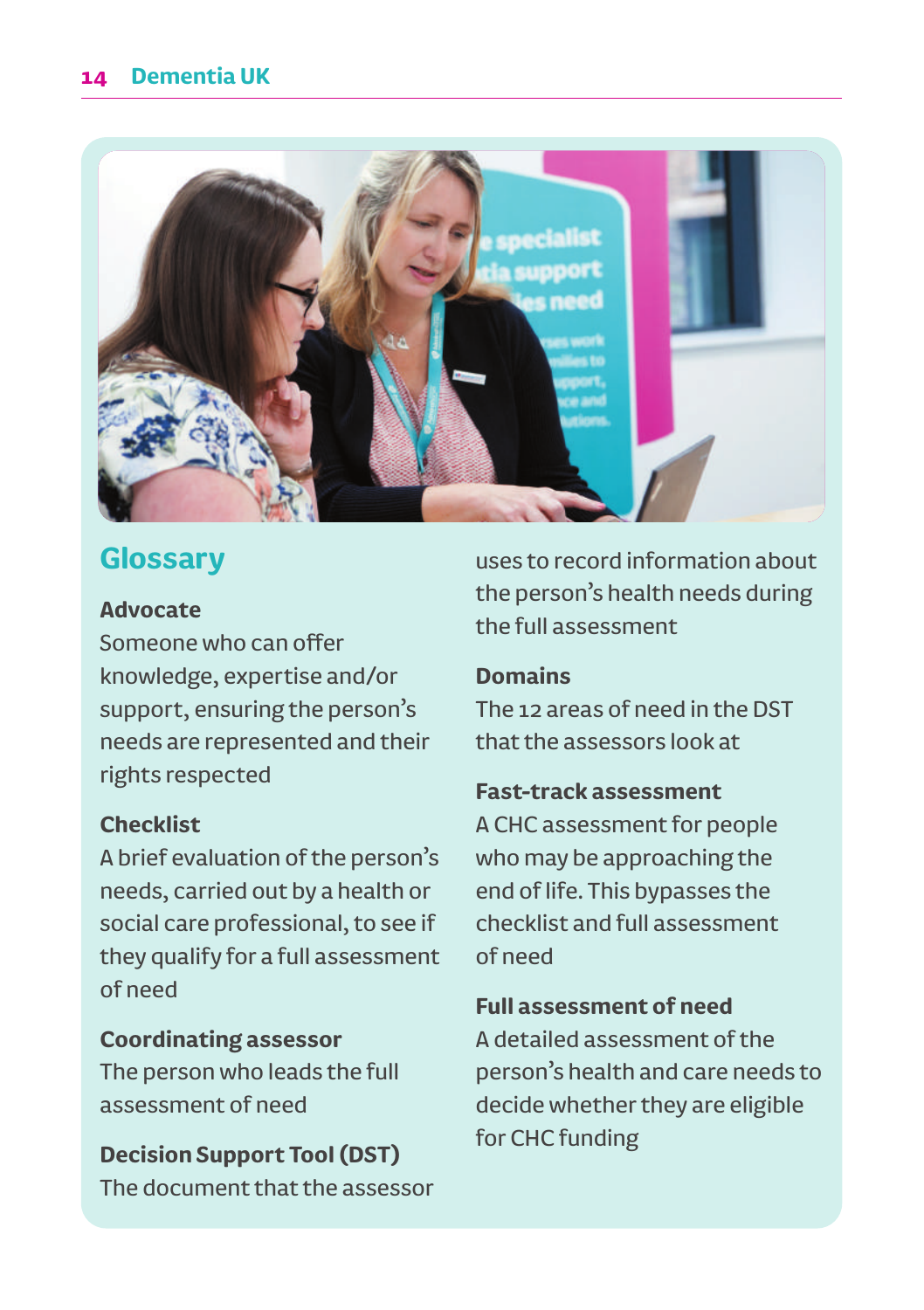

# **Glossary**

#### **Advocate**

Someone who can offer knowledge, expertise and/or support, ensuring the person's needs are represented and their rights respected

### **Checklist**

A brief evaluation of the person's needs, carried out by a health or social care professional, to see if they qualify for a full assessment of need

### **Coordinating assessor**

The person who leads the full assessment of need

### **Decision Support Tool (DST)**

The document that the assessor

uses to record information about the person's health needs during the full assessment

### **Domains**

The 12 areas of need in the DST that the assessors look at

### **Fast-track assessment**

A CHC assessment for people who may be approaching the end of life. This bypasses the checklist and full assessment of need

### **Full assessment of need**

A detailed assessment of the person's health and care needs to decide whether they are eligible for CHC funding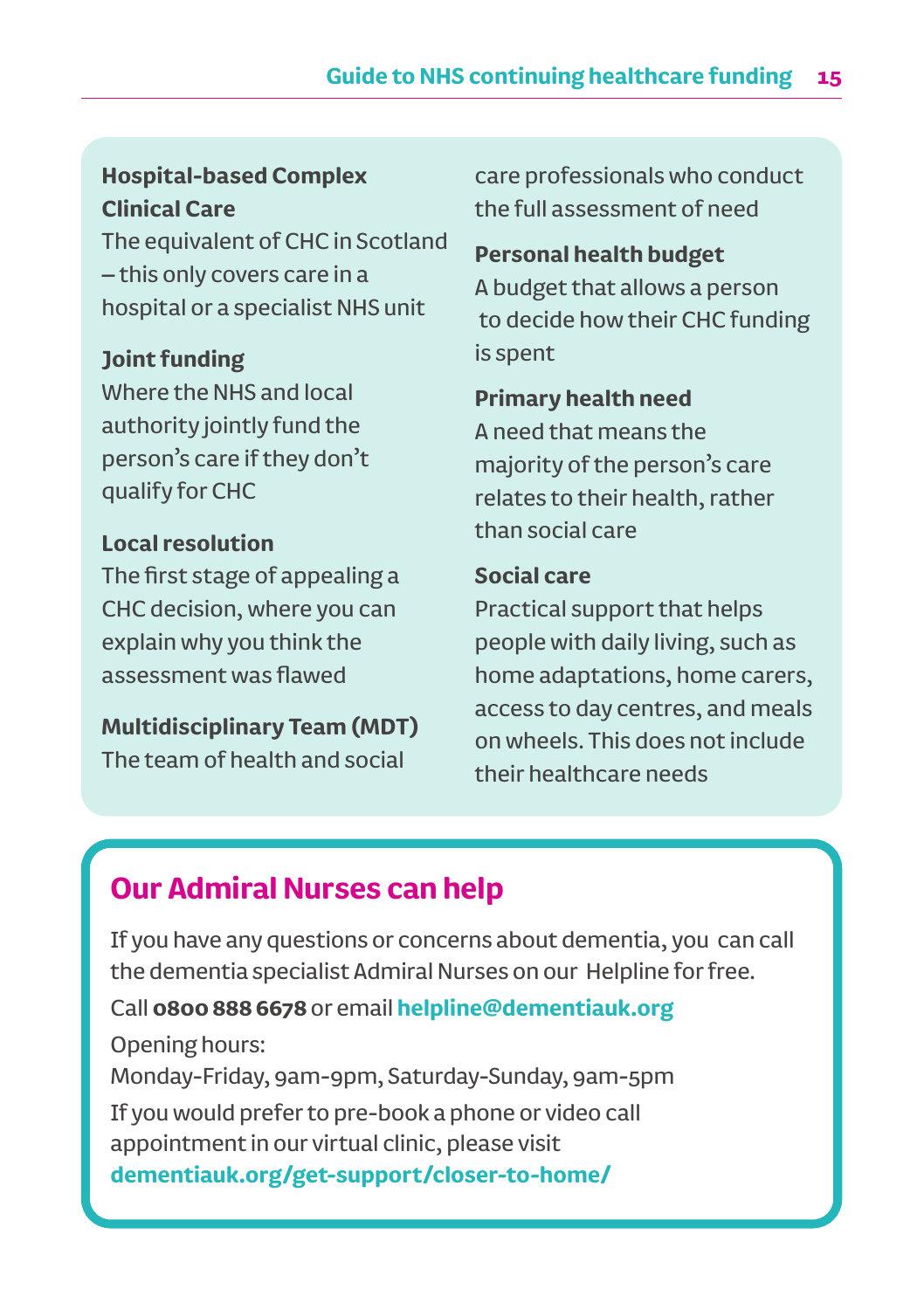### **Hospital-based Complex Clinical Care**

The equivalent of CHC in Scotland – this only covers care in a hospital or a specialist NHS unit

#### **Joint funding**

Where the NHS and local authority jointly fund the person's care if they don't qualify for CHC

### **Local resolution**

The first stage of appealing a CHC decision, where you can explain why you think the assessment was flawed

#### **Multidisciplinary Team (MDT)** The team of health and social

care professionals who conduct the full assessment of need

#### **Personal health budget**

A budget that allows a person to decide how their CHC funding is spent

#### **Primary health need**

A need that means the majority of the person's care relates to their health, rather than social care

#### **Social care**

Practical support that helps people with daily living, such as home adaptations, home carers, access to day centres, and meals on wheels. This does not include their healthcare needs

# **Our Admiral Nurses can help**

If you have any questions or concerns about dementia, you can call the dementia specialist Admiral Nurses on our Helpline for free.

### Call **0800 888 6678** or email **helpline@dementiauk.org**

Opening hours: Monday-Friday, 9am-9pm, Saturday-Sunday, 9am-5pm If you would prefer to pre-book a phone or video call appointment in our virtual clinic, please visit **dementiauk.org/get-support/closer-to-home/**